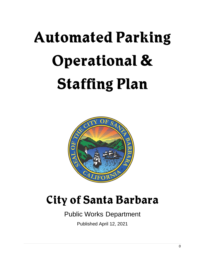# **Automated Parking Operational & Staffing Plan**



## **City of Santa Barbara**

### Public Works Department

Published April 12, 2021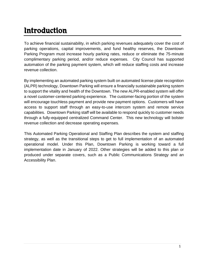### Introduction

To achieve financial sustainability, in which parking revenues adequately cover the cost of parking operations, capital improvements, and fund healthy reserves, the Downtown Parking Program must increase hourly parking rates, reduce or eliminate the 75-minute complimentary parking period, and/or reduce expenses. City Council has supported automation of the parking payment system, which will reduce staffing costs and increase revenue collection.

By implementing an automated parking system built on automated license plate recognition (ALPR) technology, Downtown Parking will ensure a financially sustainable parking system to support the vitality and health of the Downtown. The new ALPR-enabled system will offer a novel customer-centered parking experience. The customer-facing portion of the system will encourage touchless payment and provide new payment options. Customers will have access to support staff through an easy-to-use intercom system and remote service capabilities. Downtown Parking staff will be available to respond quickly to customer needs through a fully-equipped centralized Command Center. This new technology will bolster revenue collection and decrease operating expenses.

This Automated Parking Operational and Staffing Plan describes the system and staffing strategy, as well as the transitional steps to get to full implementation of an automated operational model. Under this Plan, Downtown Parking is working toward a full implementation date in January of 2022. Other strategies will be added to this plan or produced under separate covers, such as a Public Communications Strategy and an Accessibility Plan.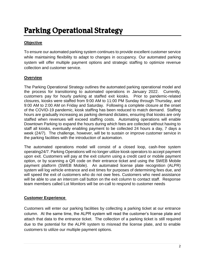### Parking Operational Strategy

### **Objective**

To ensure our automated parking system continues to provide excellent customer service while maintaining flexibility to adapt to changes in occupancy. Our automated parking system will offer multiple payment options and strategic staffing to optimize revenue collection and customer service.

### **Overview**

The Parking Operational Strategy outlines the automated parking operational model and the process for transitioning to automated operations in January 2022. Currently, customers pay for hourly parking at staffed exit kiosks. Prior to pandemic-related closures, kiosks were staffed from 9:00 AM to 11:00 PM Sunday through Thursday, and 9:00 AM to 2:00 AM on Friday and Saturday. Following a complete closure at the onset of the COVID-19 pandemic, kiosk staffing has been reduced to match demand. Staffing hours are gradually increasing as parking demand dictates, ensuring that kiosks are only staffed when revenues will exceed staffing costs. Automating operations will enable Downtown Parking to expand the hours during which fees are collected without having to staff all kiosks, eventually enabling payment to be collected 24 hours a day, 7 days a week (24/7). The challenge, however, will be to sustain or improve customer service in the parking facilities with the introduction of automation.

The automated operations model will consist of a closed loop, cash-free system operating24/7. Parking Operations will no longer utilize kiosk operators to accept payment upon exit. Customers will pay at the exit column using a credit card or mobile payment option, or by scanning a QR code on their entrance ticket and using the SWEB Mobile payment platform (SWEB Mobile). An automated license plate recognition (ALPR) system will log vehicle entrance and exit times for purposes of determining fees due, and will speed the exit of customers who do not owe fees. Customers who need assistance will be able to use an intercom call button on the exit column to contact staff. Response team members called Lot Monitors will be on-call to respond to customer needs

### **Customer Experience**

Customers will enter our parking facilities by collecting a parking ticket at our entrance column. At the same time, the ALPR system will read the customer's license plate and attach that data to the entrance ticket. The collection of a parking ticket is still required due to the potential for the ALPR system to misread the license plate, and to enable customers to utilize our multiple payment options.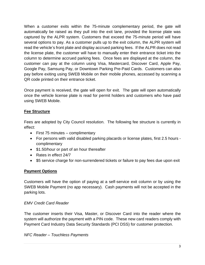When a customer exits within the 75-minute complementary period, the gate will automatically be raised as they pull into the exit lane, provided the license plate was captured by the ALPR system. Customers that exceed the 75-minute period will have several options to pay. As a customer pulls up to the exit column, the ALPR system will read the vehicle's front plate and display accrued parking fees. If the ALPR does not read the license plate, the customer will have to manually enter their entrance ticket into the column to determine accrued parking fees. Once fees are displayed at the column, the customer can pay at the column using Visa, Mastercard, Discover Card, Apple Pay, Google Pay, Samsung Pay, or Downtown Parking Pre-Paid Cards. Customers can also pay before exiting using SWEB Mobile on their mobile phones, accessed by scanning a QR code printed on their entrance ticket.

Once payment is received, the gate will open for exit. The gate will open automatically once the vehicle license plate is read for permit holders and customers who have paid using SWEB Mobile.

### **Fee Structure**

Fees are adopted by City Council resolution. The following fee structure is currently in effect:

- $\bullet$  First 75 minutes complimentary
- For persons with valid disabled parking placards or license plates, first 2.5 hours complimentary
- \$1.50/hour or part of an hour thereafter
- Rates in effect 24/7
- \$5 service charge for non-surrendered tickets or failure to pay fees due upon exit

### **Payment Options**

Customers will have the option of paying at a self-service exit column or by using the SWEB Mobile Payment (no app necessary). Cash payments will not be accepted in the parking lots.

#### *EMV Credit Card Reader*

The customer inserts their Visa, Master, or Discover Card into the reader where the system will authorize the payment with a PIN code. These new card readers comply with Payment Card Industry Data Security Standards (PCI DSS) for customer protection.

#### *NFC Reader – Touchless Payments*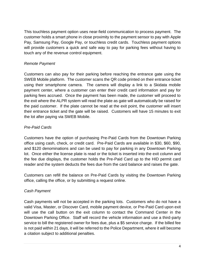This touchless payment option uses near-field communication to process payment. The customer holds a smart phone in close proximity to the payment sensor to pay with Apple Pay, Samsung Pay, Google Pay, or touchless credit cards. Touchless payment options will provide customers a quick and safe way to pay for parking fees without having to touch any of the revenue control equipment.

### *Remote Payment*

Customers can also pay for their parking before reaching the entrance gate using the SWEB Mobile platform. The customer scans the QR code printed on their entrance ticket using their smartphone camera. The camera will display a link to a Skidata mobile payment center, where a customer can enter their credit card information and pay for parking fees accrued. Once the payment has been made, the customer will proceed to the exit where the ALPR system will read the plate as gate will automatically be raised for the paid customer. If the plate cannot be read at the exit point, the customer will insert their entrance ticket and the gate will be raised. Customers will have 15 minutes to exit the lot after paying via SWEB Mobile.

### *Pre-Paid Cards*

Customers have the option of purchasing Pre-Paid Cards from the Downtown Parking office using cash, check, or credit card. Pre-Paid Cards are available in \$30, \$60, \$90, and \$120 denominations and can be used to pay for parking in any Downtown Parking lot. Once either the license plate is read or the ticket is inserted into the exit column and the fee due displays, the customer holds the Pre-Paid Card up to the HID permit card reader and the system deducts the fees due from the card balance and raises the gate.

Customers can refill the balance on Pre-Paid Cards by visiting the Downtown Parking office, calling the office, or by submitting a request online.

### *Cash Payment*

Cash payments will not be accepted in the parking lots. Customers who do not have a valid Visa, Master, or Discover Card, mobile payment device, or Pre-Paid Card upon exit will use the call button on the exit column to contact the Command Center in the Downtown Parking Office. Staff will record the vehicle information and use a third-party service to bill the registered owner for fees due, plus a \$5 service charge. If the billed fee is not paid within 21 days, it will be referred to the Police Department, where it will become a citation subject to additional penalties.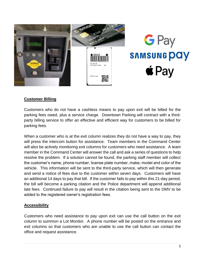

### **Customer Billing**

Customers who do not have a cashless means to pay upon exit will be billed for the parking fees owed, plus a service charge. Downtown Parking will contract with a thirdparty billing service to offer an effective and efficient way for customers to be billed for parking fees.

When a customer who is at the exit column realizes they do not have a way to pay, they will press the intercom button for assistance. Team members in the Command Center will also be actively monitoring exit columns for customers who need assistance. A team member in the Command Center will answer the call and ask a series of questions to help resolve the problem. If a solution cannot be found, the parking staff member will collect the customer's name, phone number, license plate number, make, model and color of the vehicle. This information will be sent to the third-party service, which will then generate and send a notice of fees due to the customer within seven days. Customers will have an additional 14 days to pay that bill. If the customer fails to pay within this 21-day period, the bill will become a parking citation and the Police department will append additional late fees. Continued failure to pay will result in the citation being sent to the DMV to be added to the registered owner's registration fees.

#### **Accessibility**

Customers who need assistance to pay upon exit can use the call button on the exit column to summon a Lot Monitor. A phone number will be posted on the entrance and exit columns so that customers who are unable to use the call button can contact the office and request assistance.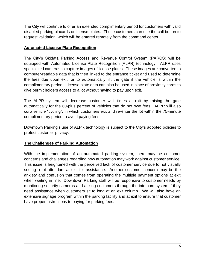The City will continue to offer an extended complimentary period for customers with valid disabled parking placards or license plates. These customers can use the call button to request validation, which will be entered remotely from the command center.

### **Automated License Plate Recognition**

The City's Skidata Parking Access and Revenue Control System (PARCS) will be equipped with Automated License Plate Recognition (ALPR) technology. ALPR uses specialized cameras to capture images of license plates. These images are converted to computer-readable data that is then linked to the entrance ticket and used to determine the fees due upon exit, or to automatically lift the gate if the vehicle is within the complimentary period. License plate data can also be used in place of proximity cards to give permit holders access to a lot without having to pay upon exit.

The ALPR system will decrease customer wait times at exit by raising the gate automatically for the 60-plus percent of vehicles that do not owe fees. ALPR will also curb vehicle "cycling", in which customers exit and re-enter the lot within the 75-minute complimentary period to avoid paying fees.

Downtown Parking's use of ALPR technology is subject to the City's adopted policies to protect customer privacy.

### **The Challenges of Parking Automation**

With the implementation of an automated parking system, there may be customer concerns and challenges regarding how automation may work against customer service. This issue is heightened with the perceived lack of customer service due to not visually seeing a lot attendant at exit for assistance. Another customer concern may be the anxiety and confusion that comes from operating the multiple payment options at exit when waiting in line. Downtown Parking staff will be responsive to customer needs by monitoring security cameras and asking customers through the intercom system if they need assistance when customers sit to long at an exit column. We will also have an extensive signage program within the parking facility and at exit to ensure that customer have proper instructions to paying for parking fees.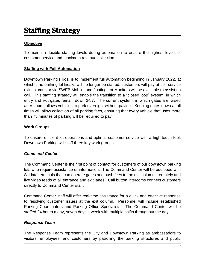### Staffing Strategy

### **Objective**

To maintain flexible staffing levels during automation to ensure the highest levels of customer service and maximum revenue collection.

### **Staffing with Full Automation**

Downtown Parking's goal is to implement full automation beginning in January 2022, at which time parking lot kiosks will no longer be staffed, customers will pay at self-service exit columns or via SWEB Mobile, and floating Lot Monitors will be available to assist on call. This staffing strategy will enable the transition to a "closed loop" system, in which entry and exit gates remain down 24/7. The current system, in which gates are raised after hours, allows vehicles to park overnight without paying. Keeping gates down at all times will allow collection of all parking fees, ensuring that every vehicle that uses more than 75 minutes of parking will be required to pay.

### **Work Groups**

To ensure efficient lot operations and optimal customer service with a high-touch feel, Downtown Parking will staff three key work groups.

### *Command Center*

The Command Center is the first point of contact for customers of our downtown parking lots who require assistance or information. The Command Center will be equipped with Skidata terminals that can operate gates and push fees to the exit columns remotely and live video feeds of all entrance and exit lanes. Call button intercoms connect customers directly to Command Center staff.

Command Center staff will offer real-time assistance for a quick and effective response to resolving customer issues at the exit column. Personnel will include established Parking Coordinators and Parking Office Specialists. The Command Center will be staffed 24 hours a day, seven days a week with multiple shifts throughout the day.

#### *Response Team*

The Response Team represents the City and Downtown Parking as ambassadors to visitors, employees, and customers by patrolling the parking structures and public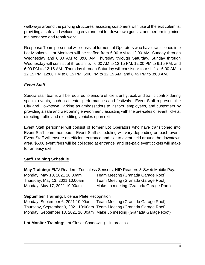walkways around the parking structures, assisting customers with use of the exit columns, providing a safe and welcoming environment for downtown guests, and performing minor maintenance and repair work.

Response Team personnel will consist of former Lot Operators who have transitioned into Lot Monitors. Lot Monitors will be staffed from 6:00 AM to 12:00 AM, Sunday through Wednesday and 6:00 AM to 3:00 AM Thursday through Saturday. Sunday through Wednesday will consist of three shifts - 6:00 AM to 12:15 PM, 12:00 PM to 6:15 PM, and 6:00 PM to 12:15 AM. Thursday through Saturday will consist or four shifts - 6:00 AM to 12:15 PM, 12:00 PM to 6:15 PM, 6:00 PM to 12:15 AM, and 8:45 PM to 3:00 AM.

### *Event Staff*

Special staff teams will be required to ensure efficient entry, exit, and traffic control during special events, such as theater performances and festivals. Event Staff represent the City and Downtown Parking as ambassadors to visitors, employees, and customers by providing a safe and welcoming environment, assisting with the pre-sales of event tickets, directing traffic and expediting vehicles upon exit.

Event Staff personnel will consist of former Lot Operators who have transitioned into Event Staff team members. Event Staff scheduling will vary depending on each event. Event Staff will ensure an efficient entrance and exit to event held around the downtown area. \$5.00 event fees will be collected at entrance, and pre-paid event tickets will make for an easy exit.

### **Staff Training Schedule**

**May Training:** EMV Readers, Touchless Sensors, HID Readers & Sweb Mobile Pay. Monday, May 10, 2021 10:00am Team Meeting (Granada Garage Roof) Thursday, May 13, 2021 10:00am Team Meeting (Granada Garage Roof) Monday, May 17, 2021 10:00am Make up meeting (Granada Garage Roof)

#### **September Training:** License Plate Recognition

Monday, September 6, 2021 10:00am Team Meeting (Granada Garage Roof) Thursday, September 9, 2021 10:00am Team Meeting (Granada Garage Roof) Monday, September 13, 2021 10:00am Make up meeting (Granada Garage Roof)

**Lot Monitor Training:** Lot Closer Shadowing – in process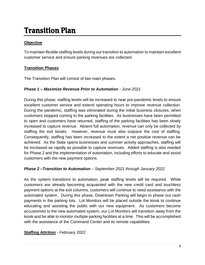### Transition Plan

### **Objective**

To maintain flexible staffing levels during our transition to automation to maintain excellent customer service and ensure parking revenues are collected.

### **Transition Phases**

The Transition Plan will consist of two main phases.

### *Phase 1 – Maximize Revenue Prior to Automation* - *June 2021*

During this phase, staffing levels will be increased to near pre-pandemic levels to ensure excellent customer service and extend operating hours to improve revenue collection. During the pandemic, staffing was eliminated during the initial business closures, when customers stopped coming to the parking facilities. As businesses have been permitted to open and customers have returned, staffing of the parking facilities has been slowly increased to capture revenue. Absent full automation, revenue can only be collected by staffing the exit kiosks. However, revenue must also outpace the cost of staffing. Consequently, staffing has been increased to the extent a net positive revenue can be achieved. As the State opens businesses and summer activity approaches, staffing will be increased as rapidly as possible to capture revenues. Added staffing is also needed for Phase 2 and the implementation of automation, including efforts to educate and assist customers with the new payment options.

### *Phase 2 –Transition to Automation – September 2021 through January 2022*

As the system transitions to automation, peak staffing levels will be required. While customers are already becoming acquainted with the new credit card and touchless payment options at the exit columns, customers will continue to need assistance with the automated system. During this phase, Downtown Parking will begin to phase out cash payments in the parking lots. Lot Monitors will be placed outside the kiosk to continue educating and assisting the public with our new equipment. As customers become accustomed to the new automated system, our Lot Monitors will transition away from the kiosk and be able to monitor multiple parking facilities at a time. This will be accomplished with the assistance of the Command Center and its remote capabilities.

### **Staffing Attrition** - *February 2022*